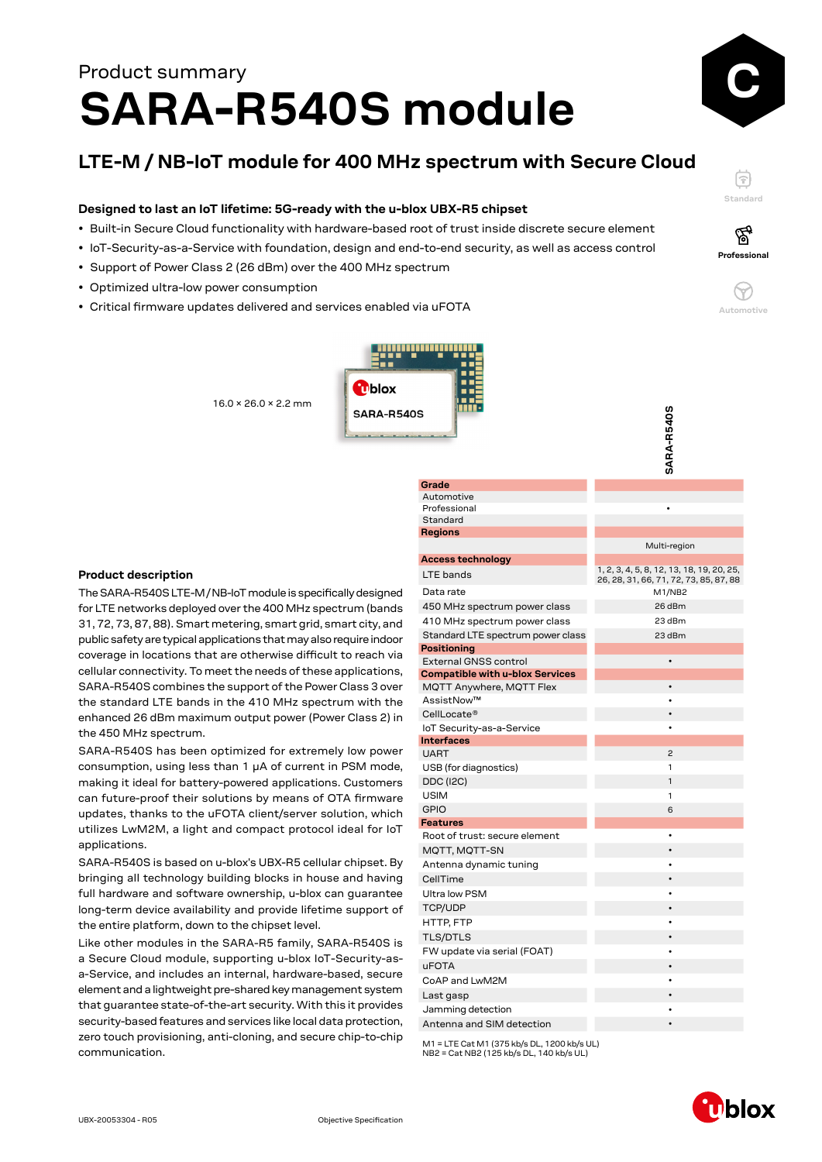# **SARA-R540S module** Product summary

# **LTE-M / NB-IoT module for 400 MHz spectrum with Secure Cloud**

#### **Designed to last an IoT lifetime: 5G-ready with the u-blox UBX-R5 chipset**

- Built-in Secure Cloud functionality with hardware-based root of trust inside discrete secure element
- IoT-Security-as-a-Service with foundation, design and end-to-end security, as well as access control
- Support of Power Class 2 (26 dBm) over the 400 MHz spectrum
- Optimized ultra-low power consumption
- Critical firmware updates delivered and services enabled via uFOTA





ଙ୍କ





**SARA-R540S**

SARA-R540S

16.0 × 26.0 × 2.2 mm



## **Product description**

The SARA-R540S LTE-M / NB-IoT module is specifically designed for LTE networks deployed over the 400 MHz spectrum (bands 31, 72, 73, 87, 88). Smart metering, smart grid, smart city, and public safety are typical applications that may also require indoor coverage in locations that are otherwise difficult to reach via cellular connectivity. To meet the needs of these applications, SARA-R540S combines the support of the Power Class 3 over the standard LTE bands in the 410 MHz spectrum with the enhanced 26 dBm maximum output power (Power Class 2) in the 450 MHz spectrum.

SARA-R540S has been optimized for extremely low power consumption, using less than 1 μA of current in PSM mode, making it ideal for battery-powered applications. Customers can future-proof their solutions by means of OTA firmware updates, thanks to the uFOTA client/server solution, which utilizes LwM2M, a light and compact protocol ideal for IoT applications.

SARA-R540S is based on u-blox's UBX-R5 cellular chipset. By bringing all technology building blocks in house and having full hardware and software ownership, u-blox can guarantee long-term device availability and provide lifetime support of the entire platform, down to the chipset level.

Like other modules in the SARA-R5 family, SARA-R540S is a Secure Cloud module, supporting u-blox IoT-Security-asa-Service, and includes an internal, hardware-based, secure element and a lightweight pre-shared key management system that guarantee state-of-the-art security. With this it provides security-based features and services like local data protection, zero touch provisioning, anti-cloning, and secure chip-to-chip communication.

| Grade                                  |                                           |
|----------------------------------------|-------------------------------------------|
| Automotive                             |                                           |
| Professional                           |                                           |
| Standard                               |                                           |
| Regions                                |                                           |
|                                        | Multi-region                              |
| <b>Access technology</b>               | 1, 2, 3, 4, 5, 8, 12, 13, 18, 19, 20, 25, |
| LTE bands                              | 26, 28, 31, 66, 71, 72, 73, 85, 87, 88    |
| Data rate                              | M1/NB2                                    |
| 450 MHz spectrum power class           | 26 dBm                                    |
| 410 MHz spectrum power class           | 23 dBm                                    |
| Standard LTE spectrum power class      | 23 dBm                                    |
| Positioning                            |                                           |
| <b>External GNSS control</b>           | $\bullet$                                 |
| <b>Compatible with u-blox Services</b> |                                           |
| MQTT Anywhere, MQTT Flex               |                                           |
| AssistNow™                             |                                           |
| CellLocate®                            | $\bullet$                                 |
| IoT Security-as-a-Service              | ٠                                         |
| <b>Interfaces</b>                      |                                           |
| <b>UART</b>                            | $\overline{c}$                            |
| USB (for diagnostics)                  | 1                                         |
| <b>DDC (I2C)</b>                       | 1                                         |
| <b>USIM</b>                            | 1                                         |
| <b>GPIO</b>                            | 6                                         |
| <b>Features</b>                        |                                           |
| Root of trust: secure element          | $\bullet$                                 |
| MQTT, MQTT-SN                          |                                           |
| Antenna dynamic tuning                 |                                           |
| CellTime                               |                                           |
| <b>Ultra low PSM</b>                   |                                           |
| <b>TCP/UDP</b>                         |                                           |
| HTTP, FTP                              |                                           |
| <b>TLS/DTLS</b>                        |                                           |
| FW update via serial (FOAT)            |                                           |
| <b>uFOTA</b>                           |                                           |
| CoAP and LwM2M                         |                                           |
| Last gasp                              |                                           |
| Jamming detection                      |                                           |
| Antenna and SIM detection              |                                           |

M1 = LTE Cat M1 (375 kb/s DL, 1200 kb/s UL) NB2 = Cat NB2 (125 kb/s DL, 140 kb/s UL)